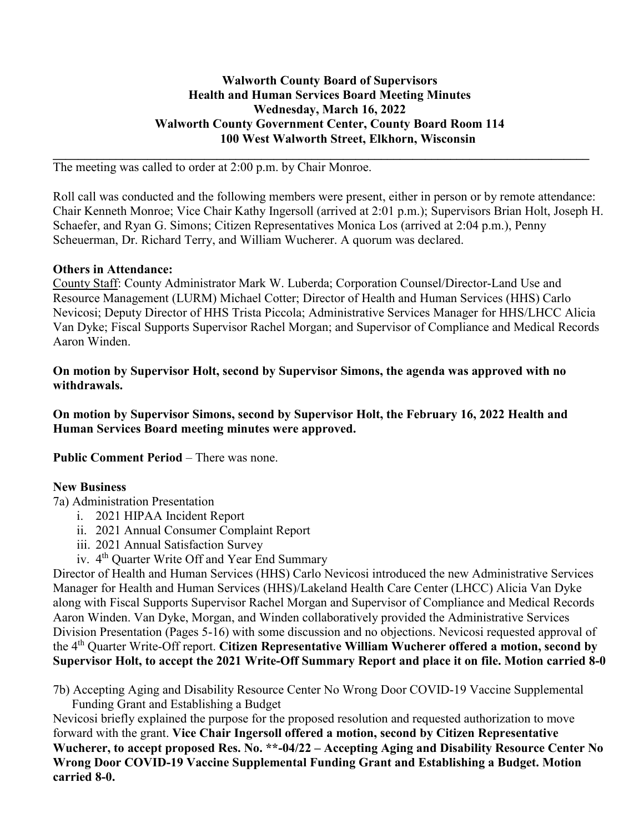#### **Walworth County Board of Supervisors Health and Human Services Board Meeting Minutes Wednesday, March 16, 2022 Walworth County Government Center, County Board Room 114 100 West Walworth Street, Elkhorn, Wisconsin**

**\_\_\_\_\_\_\_\_\_\_\_\_\_\_\_\_\_\_\_\_\_\_\_\_\_\_\_\_\_\_\_\_\_\_\_\_\_\_\_\_\_\_\_\_\_\_\_\_\_\_\_\_\_\_\_\_\_\_\_\_\_\_\_\_\_\_\_\_\_\_\_\_\_\_\_\_\_\_\_\_\_\_\_\_\_**

The meeting was called to order at 2:00 p.m. by Chair Monroe.

Roll call was conducted and the following members were present, either in person or by remote attendance: Chair Kenneth Monroe; Vice Chair Kathy Ingersoll (arrived at 2:01 p.m.); Supervisors Brian Holt, Joseph H. Schaefer, and Ryan G. Simons; Citizen Representatives Monica Los (arrived at 2:04 p.m.), Penny Scheuerman, Dr. Richard Terry, and William Wucherer. A quorum was declared.

#### **Others in Attendance:**

County Staff: County Administrator Mark W. Luberda; Corporation Counsel/Director-Land Use and Resource Management (LURM) Michael Cotter; Director of Health and Human Services (HHS) Carlo Nevicosi; Deputy Director of HHS Trista Piccola; Administrative Services Manager for HHS/LHCC Alicia Van Dyke; Fiscal Supports Supervisor Rachel Morgan; and Supervisor of Compliance and Medical Records Aaron Winden.

**On motion by Supervisor Holt, second by Supervisor Simons, the agenda was approved with no withdrawals.** 

**On motion by Supervisor Simons, second by Supervisor Holt, the February 16, 2022 Health and Human Services Board meeting minutes were approved.** 

**Public Comment Period – There was none.** 

#### **New Business**

7a) Administration Presentation

- i. 2021 HIPAA Incident Report
- ii. 2021 Annual Consumer Complaint Report
- iii. 2021 Annual Satisfaction Survey
- iv. 4th Quarter Write Off and Year End Summary

Director of Health and Human Services (HHS) Carlo Nevicosi introduced the new Administrative Services Manager for Health and Human Services (HHS)/Lakeland Health Care Center (LHCC) Alicia Van Dyke along with Fiscal Supports Supervisor Rachel Morgan and Supervisor of Compliance and Medical Records Aaron Winden. Van Dyke, Morgan, and Winden collaboratively provided the Administrative Services Division Presentation (Pages 5-16) with some discussion and no objections. Nevicosi requested approval of the 4th Quarter Write-Off report. **Citizen Representative William Wucherer offered a motion, second by Supervisor Holt, to accept the 2021 Write-Off Summary Report and place it on file. Motion carried 8-0**

7b) Accepting Aging and Disability Resource Center No Wrong Door COVID-19 Vaccine Supplemental Funding Grant and Establishing a Budget

Nevicosi briefly explained the purpose for the proposed resolution and requested authorization to move forward with the grant. **Vice Chair Ingersoll offered a motion, second by Citizen Representative Wucherer, to accept proposed Res. No. \*\*-04/22 – Accepting Aging and Disability Resource Center No Wrong Door COVID-19 Vaccine Supplemental Funding Grant and Establishing a Budget. Motion carried 8-0.**